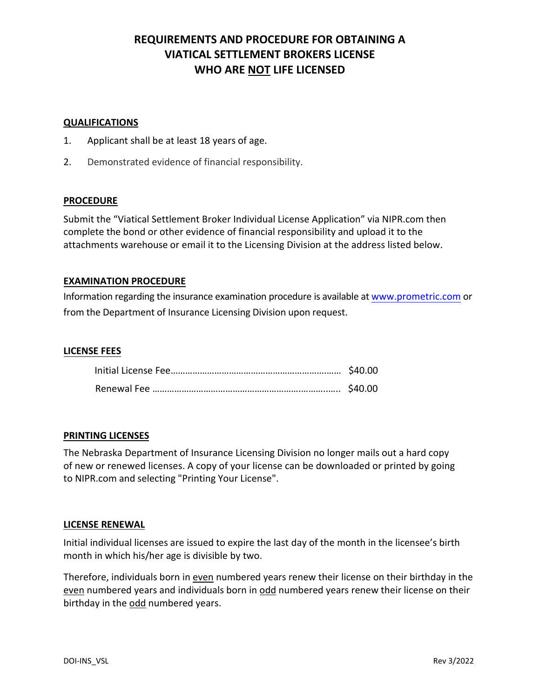# **REQUIREMENTS AND PROCEDURE FOR OBTAINING A VIATICAL SETTLEMENT BROKERS LICENSE WHO ARE NOT LIFE LICENSED**

### **QUALIFICATIONS**

- 1. Applicant shall be at least 18 years of age.
- 2. Demonstrated evidence of financial responsibility.

### **PROCEDURE**

Submit the "Viatical Settlement Broker Individual License Application" via NIPR.com then complete the bond or other evidence of financial responsibility and upload it to the attachments warehouse or email it to the Licensing Division at the address listed below.

### **EXAMINATION PROCEDURE**

Information regarding the insurance examination procedure is available at [www.prometric.com](http://www.prometric.com/) or from the Department of Insurance Licensing Division upon request.

## **LICENSE FEES**

#### **PRINTING LICENSES**

The Nebraska Department of Insurance Licensing Division no longer mails out a hard copy of new or renewed licenses. A copy of your license can be downloaded or printed by going to NIPR.com and selecting "Printing Your License".

#### **[LICENSE RENEWAL](http://www.statebasedsystems.com/LicensePrint.htm)**

Initial individual licenses are issued to expire the last day of the month in the licensee's birth month in which his/her age is divisible by two.

Therefore, individuals born in even numbered years renew their license on their birthday in the even numbered years and individuals born in odd numbered years renew their license on their birthday in the odd numbered years.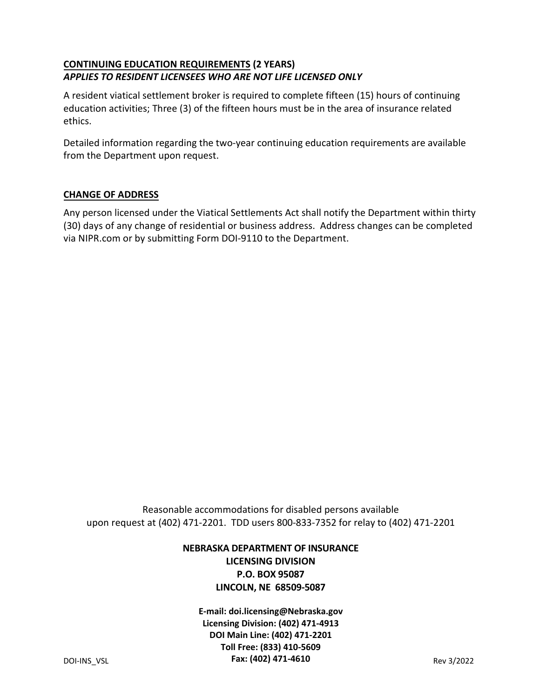# **CONTINUING EDUCATION REQUIREMENTS (2 YEARS)**  *APPLIES TO RESIDENT LICENSEES WHO ARE NOT LIFE LICENSED ONLY*

A resident viatical settlement broker is required to complete fifteen (15) hours of continuing education activities; Three (3) of the fifteen hours must be in the area of insurance related ethics.

Detailed information regarding the two-year continuing education requirements are available from the Department upon request.

# **CHANGE OF ADDRESS**

Any person licensed under the Viatical Settlements Act shall notify the Department within thirty (30) days of any change of residential or business address. Address changes can be completed via NIPR.com or by submitting Form DOI-9110 to the Department.

Reasonable accommodations for disabled persons available upon request at (402) 471-2201. TDD users 800-833-7352 for relay to (402) 471-2201

# **NEBRASKA DEPARTMENT OF INSURANCE LICENSING DIVISION P.O. BOX 95087 LINCOLN, NE 68509-5087**

DOI-INS\_VSL Rev 3/2022 **Fax: (402) 471-4610E-mail: doi.licensing@Nebraska.gov Licensing Division: (402) 471-4913 DOI Main Line: (402) 471-2201 Toll Free: (833) 410-5609**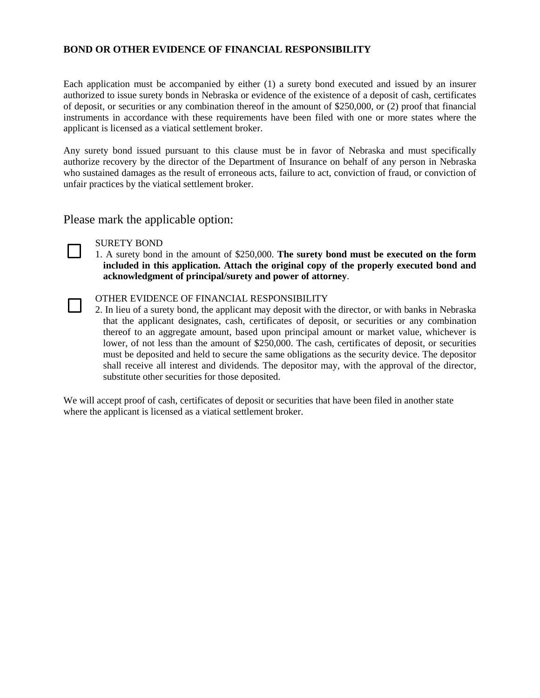## **BOND OR OTHER EVIDENCE OF FINANCIAL RESPONSIBILITY**

Each application must be accompanied by either (1) a surety bond executed and issued by an insurer authorized to issue surety bonds in Nebraska or evidence of the existence of a deposit of cash, certificates of deposit, or securities or any combination thereof in the amount of \$250,000, or (2) proof that financial instruments in accordance with these requirements have been filed with one or more states where the applicant is licensed as a viatical settlement broker.

Any surety bond issued pursuant to this clause must be in favor of Nebraska and must specifically authorize recovery by the director of the Department of Insurance on behalf of any person in Nebraska who sustained damages as the result of erroneous acts, failure to act, conviction of fraud, or conviction of unfair practices by the viatical settlement broker.

Please mark the applicable option:



SURETY BOND

1. A surety bond in the amount of \$250,000. **The surety bond must be executed on the form included in this application. Attach the original copy of the properly executed bond and acknowledgment of principal/surety and power of attorney**.

OTHER EVIDENCE OF FINANCIAL RESPONSIBILITY

2. In lieu of a surety bond, the applicant may deposit with the director, or with banks in Nebraska that the applicant designates, cash, certificates of deposit, or securities or any combination thereof to an aggregate amount, based upon principal amount or market value, whichever is lower, of not less than the amount of \$250,000. The cash, certificates of deposit, or securities must be deposited and held to secure the same obligations as the security device. The depositor shall receive all interest and dividends. The depositor may, with the approval of the director, substitute other securities for those deposited.

We will accept proof of cash, certificates of deposit or securities that have been filed in another state where the applicant is licensed as a viatical settlement broker.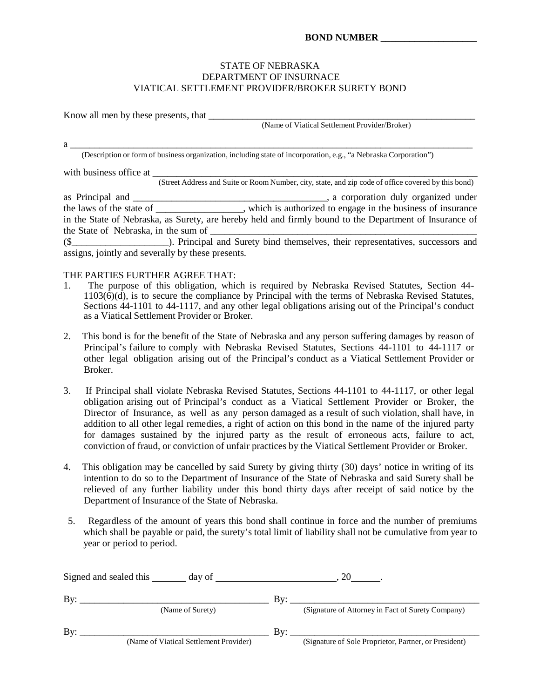#### STATE OF NEBRASKA DEPARTMENT OF INSURNACE VIATICAL SETTLEMENT PROVIDER/BROKER SURETY BOND

Know all men by these presents, that \_\_\_\_\_\_\_\_\_\_\_\_\_\_\_\_\_\_\_\_\_\_\_\_\_\_\_\_\_\_\_\_\_\_\_\_\_\_\_\_\_\_\_\_\_\_\_\_\_\_\_\_\_\_\_ (Name of Viatical Settlement Provider/Broker)

(Description or form of business organization, including state of incorporation, e.g., "a Nebraska Corporation")

with business office at \_\_\_\_\_\_\_\_\_\_\_\_\_\_\_\_\_\_\_\_\_\_\_\_\_\_\_\_\_\_\_\_\_\_\_\_\_\_\_\_\_\_\_\_\_\_\_\_\_\_\_\_\_\_\_\_\_\_\_\_\_\_\_\_\_\_\_ (Street Address and Suite or Room Number, city, state, and zip code of office covered by this bond) as Principal and \_\_\_\_\_\_\_\_\_\_\_\_\_\_\_\_\_\_\_\_\_\_\_\_\_\_\_\_\_\_\_\_\_\_\_\_\_\_\_\_, a corporation duly organized under the laws of the state of \_\_\_\_\_\_\_\_\_\_\_\_\_\_\_\_\_\_, which is authorized to engage in the business of insurance in the State of Nebraska, as Surety, are hereby held and firmly bound to the Department of Insurance of the State of Nebraska, in the sum of (\$\_\_\_\_\_\_\_\_\_\_\_\_\_\_\_\_\_\_\_\_). Principal and Surety bind themselves, their representatives, successors and assigns, jointly and severally by these presents.

a \_\_\_\_\_\_\_\_\_\_\_\_\_\_\_\_\_\_\_\_\_\_\_\_\_\_\_\_\_\_\_\_\_\_\_\_\_\_\_\_\_\_\_\_\_\_\_\_\_\_\_\_\_\_\_\_\_\_\_\_\_\_\_\_\_\_\_\_\_\_\_\_\_\_\_\_\_\_\_\_\_\_\_

#### THE PARTIES FURTHER AGREE THAT:

- 1. The purpose of this obligation, which is required by Nebraska Revised Statutes, Section 44-  $1103(\bar{6})(\bar{d})$ , is to secure the compliance by Principal with the terms of Nebraska Revised Statutes, Sections 44-1101 to 44-1117, and any other legal obligations arising out of the Principal's conduct as a Viatical Settlement Provider or Broker.
- 2. This bond is for the benefit of the State of Nebraska and any person suffering damages by reason of Principal's failure to comply with Nebraska Revised Statutes, Sections 44-1101 to 44-1117 or other legal obligation arising out of the Principal's conduct as a Viatical Settlement Provider or Broker.
- 3. If Principal shall violate Nebraska Revised Statutes, Sections 44-1101 to 44-1117, or other legal obligation arising out of Principal's conduct as a Viatical Settlement Provider or Broker, the Director of Insurance, as well as any person damaged as a result of such violation, shall have, in addition to all other legal remedies, a right of action on this bond in the name of the injured party for damages sustained by the injured party as the result of erroneous acts, failure to act, conviction of fraud, or conviction of unfair practices by the Viatical Settlement Provider or Broker.
- 4. This obligation may be cancelled by said Surety by giving thirty (30) days' notice in writing of its intention to do so to the Department of Insurance of the State of Nebraska and said Surety shall be relieved of any further liability under this bond thirty days after receipt of said notice by the Department of Insurance of the State of Nebraska.
- 5. Regardless of the amount of years this bond shall continue in force and the number of premiums which shall be payable or paid, the surety's total limit of liability shall not be cumulative from year to year or period to period.

| Signed and sealed this<br>day of |                                        | 20  |                                                       |
|----------------------------------|----------------------------------------|-----|-------------------------------------------------------|
| By:                              |                                        | Bv: |                                                       |
|                                  | (Name of Surety)                       |     | (Signature of Attorney in Fact of Surety Company)     |
| By:                              |                                        | By: |                                                       |
|                                  | (Name of Viatical Settlement Provider) |     | (Signature of Sole Proprietor, Partner, or President) |